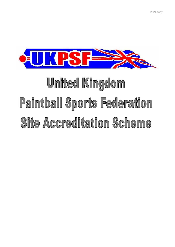

# United Kingdom Paintball Sports Federation Site Accreditation Scheme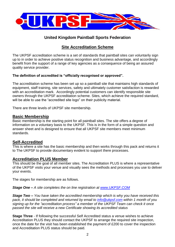

#### **United Kingdom Paintball Sports Federation**

#### **Site Accreditation Scheme**

The UKPSF accreditation scheme is a set of standards that paintball sites can voluntarily sign up to in order to achieve positive status recognition and business advantage, and accordingly benefit from the support of a range of key agencies as a consequence of being an assured quality service provider.

#### **The definition of accredited is "officially recognised or approved".**

The accreditation scheme has been set up so a paintball site that maintains high standards of equipment, staff training, site services, safety and ultimately customer satisfaction is rewarded with an accreditation mark. Accordingly potential customers can identify responsible site owners through the UKPSF accreditation scheme. Sites, which achieve the required standard, will be able to use the "accredited site logo" on their publicity material.

There are three levels of UKPSF site membership.

#### **Basic Membership**

Basic membership is the starting point for all paintball sites. The site offers a degree of information on a voluntary basis to the UKPSF. This is in the form of a simple question and answer sheet and is designed to ensure that all UKPSF site members meet minimum standards.

#### **Self-Accredited**

This is where a site has the basic membership and then works through this pack and returns it to The UKPSF to provide documentary evident to support there processes.

#### **Accreditation PLUS Member**

This should be the goal of all member sites. The Accreditation PLUS is where a representative of the UKPSF visits your venue and visually sees the methods and processes you use to deliver your events.

The stages for membership are as follows.

*Stage One – A site completes the on line registration at [www.UKPSF.COM](http://www.ukpsf.com/)*

*Stage Two – You have taken the accredited membership which is why you have received this pack, it should be completed and returned by email to [info@ukpsf.com](mailto:info@ukpsf.com) within 1 month of you signing up for the "accreditation process" a member of the UKPSF Team can check it once passed the site will receive a new Certificate showing its accredited status*

**Stage Three** - If following the successful Self Accredited status a venue wishes to achieve Accreditation PLUS they should contact the UKPSF to arrange the required site inspection, once the date for the visit has been established the payment of £200 to cover the inspection and Accreditation PLUS status should be paid.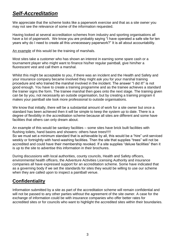## *Self-Accreditation*

We appreciate that the scheme looks like a paperwork exercise and that as a site owner you may not see the relevance of some of the information requested.

Having looked at several accreditation schemes from industry and sporting organisations all have a lot of paperwork. We know you are probably saying "I have operated a safe site for ten years why do I need to create all this unnecessary paperwork?" It is all about accountability.

An example of this would be the training of marshals.

Most sites take a customer who has shown an interest in earning some spare cash or a tournament player who might want to finance his/her regular paintball, give him/her a fluorescent vest and call them a marshal.

Whilst this might be acceptable to you, if there was an incident and the Health and Safety and your insurance company became involved they might ask you for your marshal training procedure and who trained the marshal involved in the incident. The answer "I did it!" is not good enough. You have to create a training programme and as the trainee achieves a standard the trainer signs the form. The trainee marshal then goes onto the next stage. The training given can be by you, not necessarily an outside organisation, but by creating a training program it makes your paintball site look more professional to outside organisations.

We know that initially, there will be a substantial amount of work for a site owner but once a standard has been achieved then it will be simple to keep the system up to date. There is a degree of flexibility in the accreditation scheme because all sites are different and some have facilities that others can only dream about.

An example of this would be sanitary facilities – some sites have brick built facilities with flushing toilets, hand basins and showers: others have trees!!!!! So we must set a minimum standard that is achievable by all, this would be a "hire" unit serviced weekly or fortnightly with hand-washing facilities. Then the site that supplies "trees" will not be accredited and could have their membership revoked. If a site supplies "deluxe facilities" then it is up to the site to advertise this information in their brochures.

During discussions with local authorities, county councils, Health and Safety officers, environmental health officers, the Adventure Activities Licensing Authority and insurance companies all have expressed support for an accreditation scheme. Some have indicated that as a governing body if we set the standards for sites they would be willing to use our scheme when they are called upon to inspect a paintball venue.

## **Confidentiality**

Information submitted by a site as part of the accreditation scheme will remain confidential and will not be passed to any other parties without the agreement of the site owner. A case for the exchange of information could be with insurance companies who offer better rates for accredited sites or for councils who want to highlight the accredited sites within their boundaries.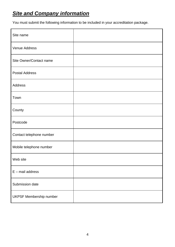# *Site and Company information*

You must submit the following information to be included in your accreditation package.

| Site name                      |  |
|--------------------------------|--|
| Venue Address                  |  |
| Site Owner/Contact name        |  |
| <b>Postal Address</b>          |  |
| Address                        |  |
| Town                           |  |
| County                         |  |
| Postcode                       |  |
| Contact telephone number       |  |
| Mobile telephone number        |  |
| Web site                       |  |
| $E$ – mail address             |  |
| Submission date                |  |
| <b>UKPSF Membership number</b> |  |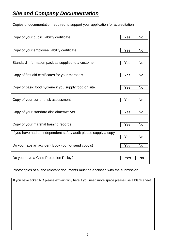# *Site and Company Documentation*

Copies of documentation required to support your application for accreditation

| Copy of your public liability certificate                        | Yes<br><b>No</b> |
|------------------------------------------------------------------|------------------|
| Copy of your employee liability certificate                      | Yes<br><b>No</b> |
| Standard information pack as supplied to a customer              | Yes<br>No        |
| Copy of first aid certificates for your marshals                 | Yes<br><b>No</b> |
| Copy of basic food hygiene if you supply food on site.           | Yes<br><b>No</b> |
| Copy of your current risk assessment.                            | <b>No</b><br>Yes |
| Copy of your standard disclaimer/waiver.                         | Yes<br><b>No</b> |
| Copy of your marshal training records                            | <b>No</b><br>Yes |
| If you have had an independent safety audit please supply a copy | Yes<br><b>No</b> |
| Do you have an accident Book (do not send copy's)                | Yes<br><b>No</b> |
| Do you have a Child Protection Policy?                           | Yes<br>No        |

Photocopies of all the relevant documents must be enclosed with the submission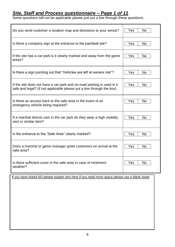#### *Site, Staff and Process questionnaire – Page 1 of 11*

Some questions will not be applicable please just put a line through these questions.

| Do you send customer a location map and directions to your venue?        | <b>No</b><br>Yes |
|--------------------------------------------------------------------------|------------------|
| Is there a company sign at the entrance to the paintball site?           | <b>No</b><br>Yes |
| If the site has a car park is it clearly marked and away from the game   | Yes              |
| areas?                                                                   | <b>No</b>        |
| Is there a sign pointing out that "Vehicles are left at owners risk"?    | Yes<br><b>No</b> |
| If the site does not have a car park and on-road parking is used is it   | Yes              |
| safe and legal? (if not applicable please put a line through the box)    | <b>No</b>        |
| Is there an access track to the safe area in the event of an             | Yes              |
| emergency vehicle being required?                                        | No.              |
| If a marshal directs cars in the car park do they wear a high visibility | Yes              |
| vest or similar item?                                                    | <b>No</b>        |
| Is the entrance to the "Safe Area" clearly marked?                       | <b>No</b><br>Yes |
| Does a marshal or game manager greet customers on arrival at the         | Yes              |
| safe area?                                                               | No.              |
| Is there sufficient cover in the safe area in case of inclement          | <b>No</b>        |
| weather?                                                                 | Yes              |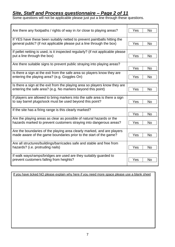## *Site, Staff and Process questionnaire – Page 2 of 11*

Some questions will not be applicable please just put a line through these questions.

| Are there any footpaths / rights of way in /or close to playing areas?          | <b>No</b><br>Yes |
|---------------------------------------------------------------------------------|------------------|
|                                                                                 |                  |
| If YES have these been suitably netted to prevent paintballs hitting the        |                  |
| general public? (if not applicable please put a line through the box)           | <b>No</b><br>Yes |
|                                                                                 |                  |
| If pellet netting is used, is it inspected regularly? (if not applicable please |                  |
| put a line through the box)                                                     | Yes<br><b>No</b> |
|                                                                                 |                  |
| Are there suitable signs to prevent public straying into playing areas?         |                  |
|                                                                                 | Yes<br><b>No</b> |
| Is there a sign at the exit from the safe area so players know they are         |                  |
| entering the playing area? (e.g. Goggles On)                                    | Yes<br>No        |
|                                                                                 |                  |
| Is there a sign at the exit from the playing area so players know they are      |                  |
| entering the safe area? (e.g. No markers beyond this point)                     | Yes<br><b>No</b> |
|                                                                                 |                  |
| If players are allowed to bring markers into the safe area is there a sign      |                  |
| to say barrel plugs/sock must be used beyond this point?                        | Yes<br>No        |
| If the site has a firing range is this clearly marked?                          |                  |
|                                                                                 | Yes<br>No        |
| Are the playing areas as clear as possible of natural hazards or the            |                  |
| hazards marked to prevent customers straying into dangerous areas?              | Yes<br><b>No</b> |
|                                                                                 |                  |
| Are the boundaries of the playing area clearly marked, and are players          |                  |
| made aware of the game boundaries prior to the start of the game?               | <b>No</b><br>Yes |
|                                                                                 |                  |
| Are all structures/buildings/barricades safe and stable and free from           |                  |
| hazards? (i.e. protruding nails)                                                | Yes<br>No        |
|                                                                                 |                  |
| If walk ways/ramps/bridges are used are they suitably guarded to                |                  |
| prevent customers falling from heights?                                         | Yes<br>No        |
|                                                                                 |                  |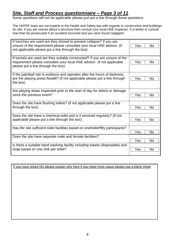## *Site, Staff and Process questionnaire – Page 3 of 11*

Some questions will not be applicable please just put a line through these questions.

The UKPSF team are not experts in the Health and Safety law with regards to construction and buildings on site. If you are unsure about a structure then consult your local HSE inspector. It is better to consult now than be prosecuted if an accident occurred and you were found negligent.

| If trenches are used are they shored to prevent collapse? If you are<br>unsure of the requirement please consultee your local HSE advisor. (if<br>not applicable please put a line through the box) | Yes<br>No        |
|-----------------------------------------------------------------------------------------------------------------------------------------------------------------------------------------------------|------------------|
| If tunnels are used are they suitably constructed? If you are unsure of the<br>requirement please consultee your local HSE advisor. (if not applicable<br>please put a line through the box)        | Yes<br><b>No</b> |
| If the paintball site is outdoors and operates after the hours of darkness<br>are the playing areas floodlit? (if not applicable please put a line through<br>the box)                              | Yes<br>No        |
| Are playing areas inspected prior to the start of day for debris or damage<br>since the previous event?                                                                                             | Yes<br>No        |
| Does the site have flushing toilets? (if not applicable please put a line<br>through the box)                                                                                                       | Yes<br>No        |
| Does the site have a chemical toilet and is it serviced regularly? (if not<br>applicable please put a line through the box)                                                                         | Yes<br>No        |
| Has the site sufficient toilet facilities based on one/toilet/fifty participants?                                                                                                                   | Yes<br>No        |
| Does the site have separate male and female facilities?                                                                                                                                             | Yes<br><b>No</b> |
| Is there a suitable hand washing facility including towels (disposable) and<br>soap based on one sink per toilet?                                                                                   | Yes<br>No        |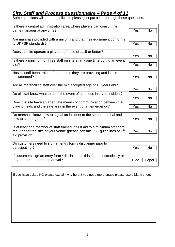## *Site, Staff and Process questionnaire – Page 4 of 11*

Some questions will not be applicable please just put a line through these questions.

| Is there a central administration area where players can consult the                  |                  |
|---------------------------------------------------------------------------------------|------------------|
| game manager at any time?                                                             | Yes<br><b>No</b> |
|                                                                                       |                  |
| Are marshals provided with a uniform and that their equipment conforms                |                  |
| to UKPSF standards?                                                                   | <b>No</b><br>Yes |
|                                                                                       |                  |
| Does the site operate a player-staff ratio of 1:15 or better?                         |                  |
|                                                                                       | Yes<br><b>No</b> |
| Is there a minimum of three staff on site at any one time during an event             |                  |
| day?                                                                                  | Yes<br><b>No</b> |
|                                                                                       |                  |
| Has all staff been trained for the roles they are providing and is this               |                  |
| documented?                                                                           | Yes<br><b>No</b> |
|                                                                                       |                  |
| Are all marshalling staff over the min accepted age of 16 years old?                  |                  |
|                                                                                       | Yes<br><b>No</b> |
| Do all staff know what to do in the event of a serious injury or incident?            |                  |
|                                                                                       | Yes<br><b>No</b> |
| Does the site have an adequate means of communication between the                     |                  |
| playing fields and the safe area in the event of an emergency?                        | <b>No</b><br>Yes |
|                                                                                       |                  |
| Do marshals know how to signal an incident to the senior marshal and                  |                  |
| how to stop a game?                                                                   | <b>No</b><br>Yes |
|                                                                                       |                  |
| Is at least one member of staff trained in first aid to a minimum standard            |                  |
| required for the size of your venue (please consult HSE guidelines of 1 <sup>st</sup> | Yes<br><b>No</b> |
| aid provision)                                                                        |                  |
|                                                                                       |                  |
| Do customers need to sign an entry form / disclaimer prior to                         |                  |
| participating?                                                                        | Yes<br><b>No</b> |
|                                                                                       |                  |
| If customers sign an entry form / disclaimer is this done electronically or           |                  |
| on a pre-printed form on arrival?                                                     | Elec<br>Paper    |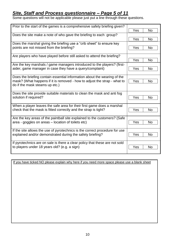## *Site, Staff and Process questionnaire – Page 5 of 11*

Some questions will not be applicable please just put a line through these questions.

| Prior to the start of the games is a comprehensive safety briefing given?                                                   |                  |
|-----------------------------------------------------------------------------------------------------------------------------|------------------|
|                                                                                                                             | Yes<br>No        |
| Does the site make a note of who gave the briefing to each group?                                                           |                  |
|                                                                                                                             | <b>No</b><br>Yes |
| Does the marshal giving the briefing use a "crib sheet" to ensure key                                                       |                  |
| points are not missed from the briefing?                                                                                    | <b>No</b><br>Yes |
| Are players who have played before still asked to attend the briefing?                                                      |                  |
|                                                                                                                             | Yes<br>No        |
| Are the key marshals / game managers introduced to the players? (first-                                                     |                  |
| aider, game manager in case they have a query/complaint)                                                                    | Yes<br>No        |
|                                                                                                                             |                  |
| Does the briefing contain essential information about the wearing of the                                                    |                  |
| mask? (What happens if it is removed - how to adjust the strap - what to                                                    | Yes<br>No        |
| do if the mask steams up etc.)                                                                                              |                  |
| Does the site provide suitable materials to clean the mask and anti fog                                                     |                  |
| solution if required?                                                                                                       | Yes<br><b>No</b> |
|                                                                                                                             |                  |
| When a player leaves the safe area for their first game does a marshal                                                      |                  |
| check that the mask is fitted correctly and the strap is tight?                                                             | Yes<br><b>No</b> |
| Are the key areas of the paintball site explained to the customers? (Safe                                                   |                  |
| area - goggles on areas – location of toilets etc)                                                                          | Yes<br>No        |
|                                                                                                                             |                  |
| If the site allows the use of pyrotechnics is the correct procedure for use                                                 |                  |
| explained and/or demonstrated during the safety briefing?                                                                   | Yes<br>No        |
|                                                                                                                             |                  |
| If pyrotechnics are on sale is there a clear policy that these are not sold<br>to players under 18 years old? (e.g. a sign) | Yes<br><b>No</b> |
|                                                                                                                             |                  |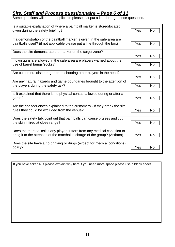## *Site, Staff and Process questionnaire – Page 6 of 11*

Some questions will not be applicable please just put a line through these questions.

| Is a suitable explanation of where a paintball marker is stored/located     | <b>No</b>        |
|-----------------------------------------------------------------------------|------------------|
| given during the safety briefing?                                           | Yes              |
| If a demonstration of the paintball marker is given in the safe area are    | Yes              |
| paintballs used? (if not applicable please put a line through the box)      | <b>No</b>        |
| Does the site demonstrate the marker on the target zone?                    | Yes<br><b>No</b> |
| If own guns are allowed in the safe area are players warned about the       | Yes              |
| use of barrel bungs/socks?                                                  | <b>No</b>        |
| Are customers discouraged from shooting other players in the head?          | <b>No</b><br>Yes |
| Are any natural hazards and game boundaries brought to the attention of     | <b>No</b>        |
| the players during the safety talk?                                         | Yes              |
| Is it explained that there is no physical contact allowed during or after a | Yes              |
| game?                                                                       | <b>No</b>        |
| Are the consequences explained to the customers - If they break the site    | <b>No</b>        |
| rules they could be excluded from the venue?                                | Yes              |
| Does the safety talk point out that paintballs can cause bruises and cut    | <b>Yes</b>       |
| the skin if fired at close range?                                           | <b>No</b>        |
| Does the marshal ask if any player suffers from any medical condition to    | <b>No</b>        |
| bring it to the attention of the marshal in charge of the group? (Asthma)   | Yes              |
| Does the site have a no drinking or drugs (except for medical conditions)   | Yes              |
| policy?                                                                     | <b>No</b>        |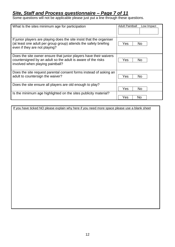#### *Site, Staff and Process questionnaire – Page 7 of 11*

Some questions will not be applicable please just put a line through these questions.

| What Is the sites minimum age for participation                                                                                                                            | <b>Adult Paintball</b><br>Low Impact |
|----------------------------------------------------------------------------------------------------------------------------------------------------------------------------|--------------------------------------|
| If junior players are playing does the site insist that the organiser<br>(at least one adult per group group) attends the safety briefing<br>even if they are not playing? | Yes<br>No.                           |
| Does the site owner ensure that junior players have their waivers<br>countersigned by an adult so the adult is aware of the risks<br>involved when playing paintball?      | Yes<br>No.                           |
| Does the site request parental consent forms instead of asking an<br>adult to countersign the waiver?                                                                      | Yes<br>No.                           |
| Does the site ensure all players are old enough to play?                                                                                                                   | Yes<br>No.                           |
| Is the minimum age highlighted on the sites publicity material?                                                                                                            | Yes<br>No                            |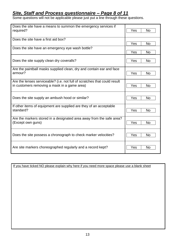## *Site, Staff and Process questionnaire – Page 8 of 11*

Some questions will not be applicable please just put a line through these questions.

| Does the site have a means to summon the emergency services if<br>required?                                               | Yes<br><b>No</b> |
|---------------------------------------------------------------------------------------------------------------------------|------------------|
| Does the site have a first aid box?                                                                                       | Yes<br><b>No</b> |
| Does the site have an emergency eye wash bottle?                                                                          | Yes<br><b>No</b> |
| Does the site supply clean dry coveralls?                                                                                 | Yes<br><b>No</b> |
| Are the paintball masks supplied clean, dry and contain ear and face<br>armour?                                           | Yes<br><b>No</b> |
| Are the lenses serviceable? (i.e. not full of scratches that could result<br>in customers removing a mask in a game area) | No<br>Yes        |
| Does the site supply an ambush hood or similar?                                                                           | <b>No</b><br>Yes |
| If other items of equipment are supplied are they of an acceptable<br>standard?                                           | Yes<br><b>No</b> |
| Are the markers stored in a designated area away from the safe area?<br>(Except own guns)                                 | Yes<br><b>No</b> |
| Does the site possess a chronograph to check marker velocities?                                                           | Yes<br>No        |
| Are site markers choreographed regularly and a record kept?                                                               | Yes<br><b>No</b> |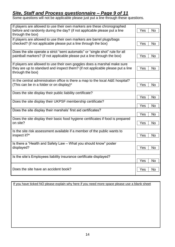## *Site, Staff and Process questionnaire – Page 9 of 11*

Some questions will not be applicable please just put a line through these questions.

| If players are allowed to use their own markers are these chronographed<br>before and randomly during the day? (if not applicable please put a line<br>through the box)        | <b>No</b><br>Yes      |
|--------------------------------------------------------------------------------------------------------------------------------------------------------------------------------|-----------------------|
| If players are allowed to use their own markers are barrel plugs/bags<br>checked? (if not applicable please put a line through the box)                                        | Yes<br>N <sub>o</sub> |
| Does the site operate a strict "semi automatic" or "single shot" rule for all<br>paintball markers? (if not applicable please put a line through the box)                      | Yes<br><b>No</b>      |
| If players are allowed to use their own goggles does a marshal make sure<br>they are up to standard and inspect them? (if not applicable please put a line<br>through the box) | Yes<br><b>No</b>      |
| In the central administration office is there a map to the local A&E hospital?<br>(This can be in a folder or on display)*                                                     | Yes<br><b>No</b>      |
| Does the site display their public liability certificate?                                                                                                                      | Yes<br><b>No</b>      |
| Does the site display their UKPSF membership certificate?                                                                                                                      | Yes<br><b>No</b>      |
| Does the site display their marshals' first aid certificates?                                                                                                                  | Yes<br><b>No</b>      |
| Does the site display their basic food hygiene certificates if food is prepared<br>on site?                                                                                    | <b>No</b><br>Yes      |
| Is the site risk assessment available if a member of the public wants to<br>inspect it?*                                                                                       | <b>No</b><br>Yes      |
| Is there a "Health and Safety Law - What you should know" poster<br>displayed?                                                                                                 | Yes<br>N <sub>o</sub> |
| Is the site's Employees liability insurance certificate displayed?                                                                                                             | Yes<br>No             |
| Does the site have an accident book?                                                                                                                                           | <b>No</b><br>Yes      |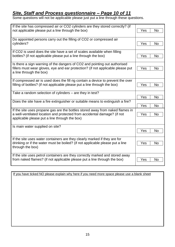## *Site, Staff and Process questionnaire – Page 10 of 11*

Some questions will not be applicable please just put a line through these questions.

| If the site has compressed air or CO2 cylinders are they stored correctly? (if<br>not applicable please put a line through the box)                                                                        | Yes<br><b>No</b> |
|------------------------------------------------------------------------------------------------------------------------------------------------------------------------------------------------------------|------------------|
| Do appointed persons carry out the filling of CO2 or compressed air<br>cylinders?                                                                                                                          | Yes<br>No        |
| If CO2 is used does the site have a set of scales available when filling<br>bottles? (if not applicable please put a line through the box)                                                                 | Yes<br>No        |
| Is there a sign warning of the dangers of CO2 and pointing out authorised<br>fillers must wear gloves, eye and ear protection? (if not applicable please put<br>a line through the box)                    | Yes<br><b>No</b> |
| If compressed air is used does the fill rig contain a device to prevent the over<br>filling of bottles? (if not applicable please put a line through the box)                                              | Yes<br><b>No</b> |
| Take a random selection of cylinders – are they in test?                                                                                                                                                   | Yes<br><b>No</b> |
| Does the site have a fire extinguisher or suitable means to extinguish a fire?                                                                                                                             | Yes<br><b>No</b> |
| If the site uses propane gas are the bottles stored away from naked flames in<br>a well-ventilated location and protected from accidental damage? (if not<br>applicable please put a line through the box) | Yes<br><b>No</b> |
| Is main water supplied on site?                                                                                                                                                                            | Yes<br><b>No</b> |
| If the site uses water containers are they clearly marked if they are for<br>drinking or if the water must be boiled? (if not applicable please put a line<br>through the box)                             | Yes<br>No        |
| If the site uses petrol containers are they correctly marked and stored away<br>from naked flames? (if not applicable please put a line through the box)                                                   | Yes<br>No        |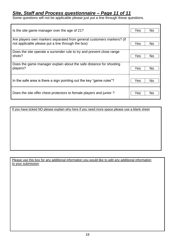## *Site, Staff and Process questionnaire – Page 11 of 11*

Some questions will not be applicable please just put a line through these questions.

| Is the site game manager over the age of 21?                          | Yes<br>No             |
|-----------------------------------------------------------------------|-----------------------|
| Are players own markers separated from general customers markers? (if | Yes                   |
| not applicable please put a line through the box)                     | No.                   |
| Does the site operate a surrender rule to try and prevent close range | Yes                   |
| shots?                                                                | No                    |
| Does the game manager explain about the safe distance for shooting    | Yes                   |
| players?                                                              | <b>No</b>             |
| In the safe area is there a sign pointing out the key "game rules"?   | Yes<br>N <sub>o</sub> |
| Does the site offer chest protectors to female players and junior?    | Yes<br>No             |

If you have ticked NO please explain why here if you need more space please use a blank sheet

Please use this box for any additional information you would like to add any additional information to your submission